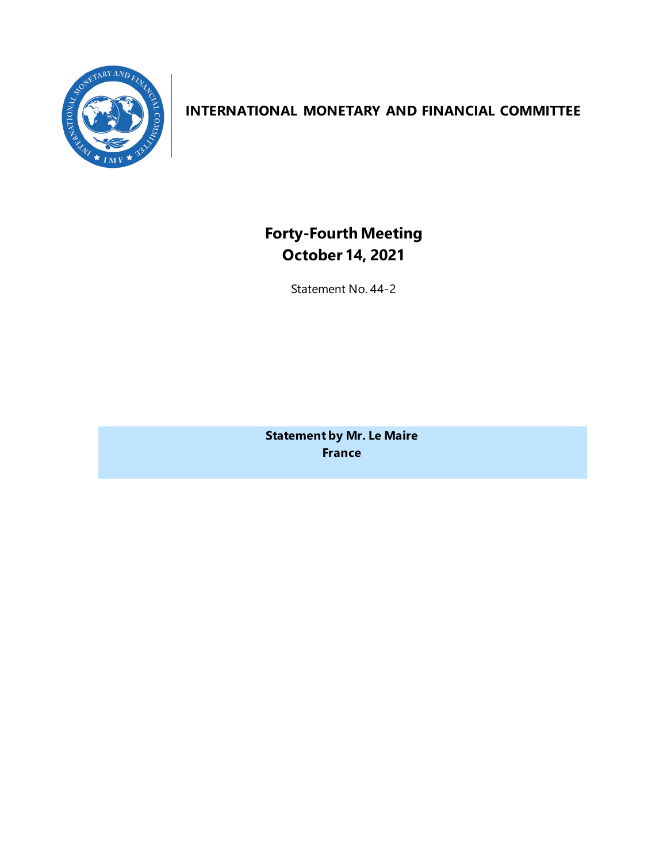

## **INTERNATIONAL MONETARY AND FINANCIAL COMMITTEE**

**Forty-Fourth Meeting October 14, 2021**

Statement No. 44-2

**Statement by Mr. Le Maire France**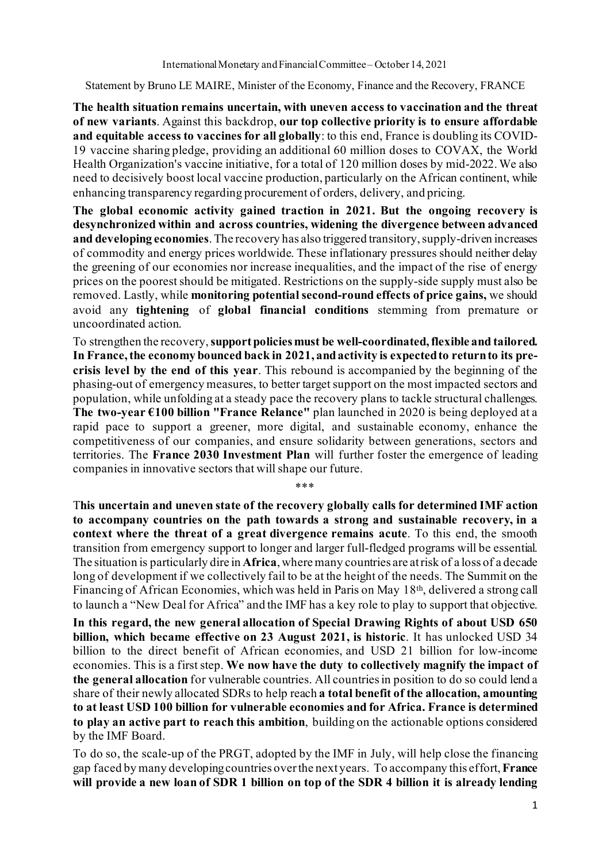Statement by Bruno LE MAIRE, Minister of the Economy, Finance and the Recovery, FRANCE

**The health situation remains uncertain, with uneven access to vaccination and the threat of new variants**. Against this backdrop, **our top collective priority is to ensure affordable and equitable access to vaccines for all globally**: to this end, France is doubling its COVID-19 vaccine sharing pledge, providing an additional 60 million doses to COVAX, the World Health Organization's vaccine initiative, for a total of 120 million doses by mid-2022. We also need to decisively boost local vaccine production, particularly on the African continent, while enhancing transparency regarding procurement of orders, delivery, and pricing.

**The global economic activity gained traction in 2021. But the ongoing recovery is desynchronized within and across countries, widening the divergence between advanced and developing economies**.The recovery has also triggered transitory, supply-driven increases of commodity and energy prices worldwide. These inflationary pressures should neither delay the greening of our economies nor increase inequalities, and the impact of the rise of energy prices on the poorest should be mitigated. Restrictions on the supply-side supply must also be removed. Lastly, while **monitoring potential second-round effects of price gains,** we should avoid any **tightening** of **global financial conditions** stemming from premature or uncoordinated action.

To strengthen the recovery,**supportpolicies must be well-coordinated, flexible and tailored. In France, the economy bounced back in 2021, andactivity is expected to return to its precrisis level by the end of this year**. This rebound is accompanied by the beginning of the phasing-out of emergency measures, to better target support on the most impacted sectors and population, while unfolding at a steady pace the recovery plans to tackle structural challenges. **The two-year €100 billion "France Relance"** plan launched in 2020 is being deployed at a rapid pace to support a greener, more digital, and sustainable economy, enhance the competitiveness of our companies, and ensure solidarity between generations, sectors and territories. The **France 2030 Investment Plan** will further foster the emergence of leading companies in innovative sectors that will shape our future.

T**his uncertain and uneven state of the recovery globally calls for determined IMF action to accompany countries on the path towards a strong and sustainable recovery, in a context where the threat of a great divergence remains acute**. To this end, the smooth transition from emergency support to longer and larger full-fledged programs will be essential. The situation is particularly dire in **Africa**, where many countries are at risk of a loss of a decade long of development if we collectively fail to be at the height of the needs. The Summit on the Financing of African Economies, which was held in Paris on May 18th, delivered a strong call to launch a "New Deal for Africa" and the IMF has a key role to play to support that objective.

\*\*\*

**In this regard, the new general allocation of Special Drawing Rights of about USD 650 billion, which became effective on 23 August 2021, is historic**. It has unlocked USD 34 billion to the direct benefit of African economies, and USD 21 billion for low-income economies. This is a first step. **We now have the duty to collectively magnify the impact of the general allocation** for vulnerable countries. All countries in position to do so could lend a share of their newly allocated SDRs to help reach **a total benefit of the allocation, amounting to at least USD 100 billion for vulnerable economies and for Africa. France is determined to play an active part to reach this ambition**, building on the actionable options considered by the IMF Board.

To do so, the scale-up of the PRGT, adopted by the IMF in July, will help close the financing gap faced by many developing countries over the next years. To accompany this effort, **France will provide a new loan of SDR 1 billion on top of the SDR 4 billion it is already lending**